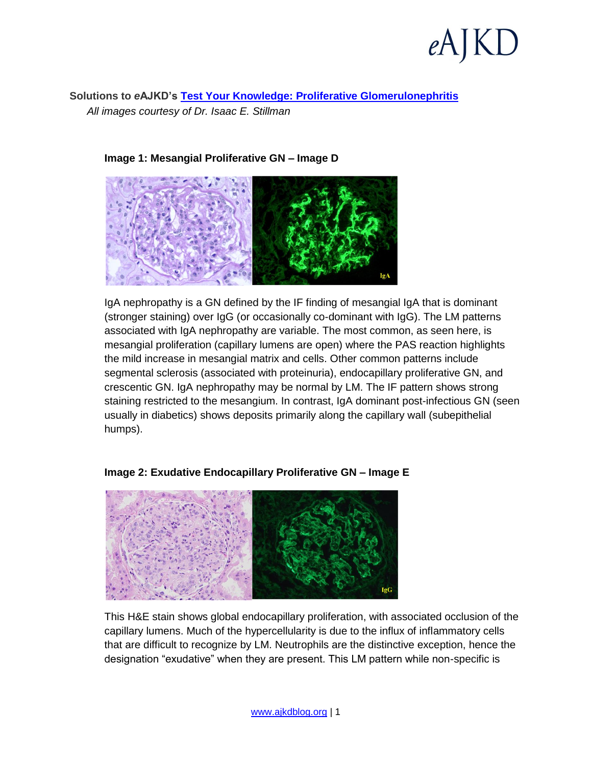**Solutions to** *e***AJKD's [Test Your Knowledge: Proliferative Glomerulonephritis](http://wp.me/p1IgOp-1nK)** *All images courtesy of Dr. Isaac E. Stillman*



# **Image 1: Mesangial Proliferative GN – Image D**

IgA nephropathy is a GN defined by the IF finding of mesangial IgA that is dominant (stronger staining) over IgG (or occasionally co-dominant with IgG). The LM patterns associated with IgA nephropathy are variable. The most common, as seen here, is mesangial proliferation (capillary lumens are open) where the PAS reaction highlights the mild increase in mesangial matrix and cells. Other common patterns include segmental sclerosis (associated with proteinuria), endocapillary proliferative GN, and crescentic GN. IgA nephropathy may be normal by LM. The IF pattern shows strong staining restricted to the mesangium. In contrast, IgA dominant post-infectious GN (seen usually in diabetics) shows deposits primarily along the capillary wall (subepithelial humps).



# **Image 2: Exudative Endocapillary Proliferative GN – Image E**

This H&E stain shows global endocapillary proliferation, with associated occlusion of the capillary lumens. Much of the hypercellularity is due to the influx of inflammatory cells that are difficult to recognize by LM. Neutrophils are the distinctive exception, hence the designation "exudative" when they are present. This LM pattern while non-specific is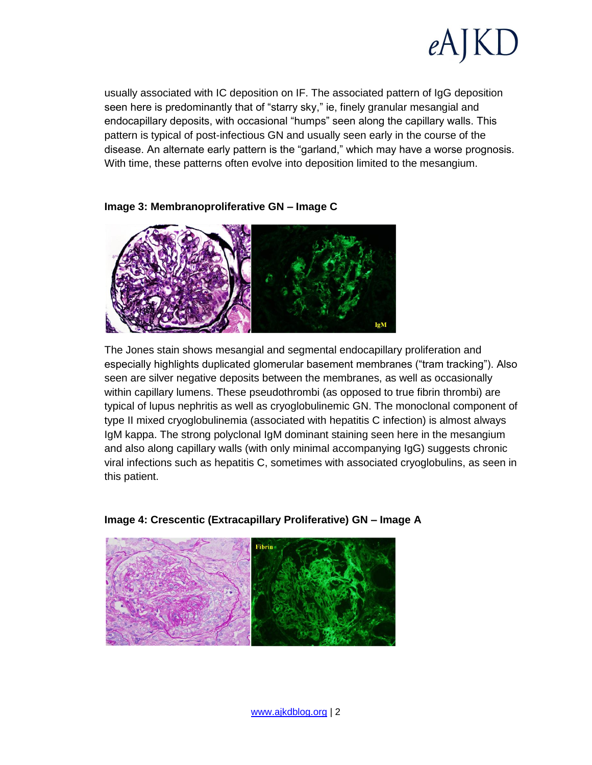

usually associated with IC deposition on IF. The associated pattern of IgG deposition seen here is predominantly that of "starry sky," ie, finely granular mesangial and endocapillary deposits, with occasional "humps" seen along the capillary walls. This pattern is typical of post-infectious GN and usually seen early in the course of the disease. An alternate early pattern is the "garland," which may have a worse prognosis. With time, these patterns often evolve into deposition limited to the mesangium.



## **Image 3: Membranoproliferative GN – Image C**

The Jones stain shows mesangial and segmental endocapillary proliferation and especially highlights duplicated glomerular basement membranes ("tram tracking"). Also seen are silver negative deposits between the membranes, as well as occasionally within capillary lumens. These pseudothrombi (as opposed to true fibrin thrombi) are typical of lupus nephritis as well as cryoglobulinemic GN. The monoclonal component of type II mixed cryoglobulinemia (associated with hepatitis C infection) is almost always IgM kappa. The strong polyclonal IgM dominant staining seen here in the mesangium and also along capillary walls (with only minimal accompanying IgG) suggests chronic viral infections such as hepatitis C, sometimes with associated cryoglobulins, as seen in this patient.



## **Image 4: Crescentic (Extracapillary Proliferative) GN – Image A**